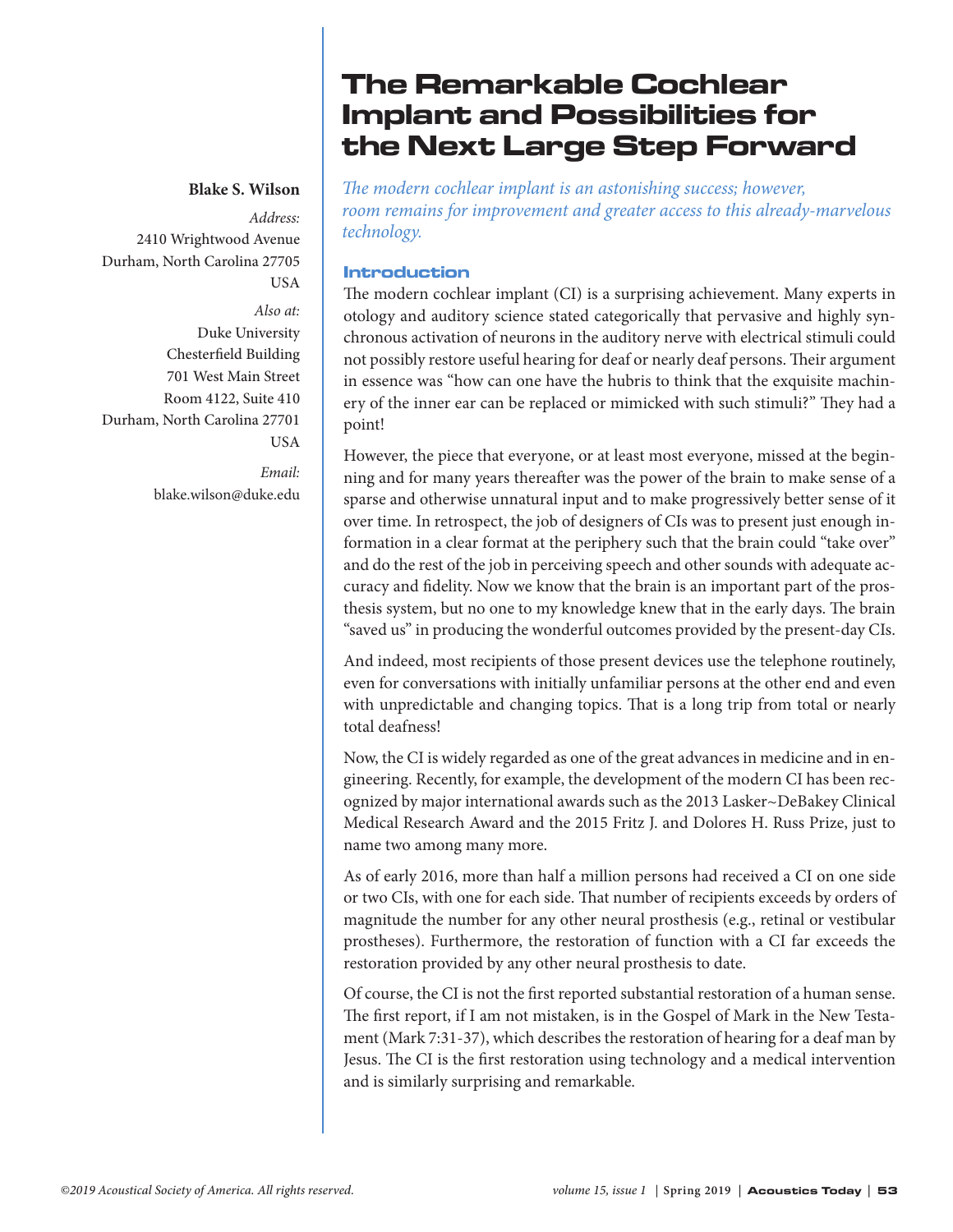## **Blake S. Wilson**

*Address:*  2410 Wrightwood Avenue Durham, North Carolina 27705 USA *Also at:* Duke University Chesterfield Building 701 West Main Street Room 4122, Suite 410 Durham, North Carolina 27701 **USA** *Email:*

[blake.wilson@duke.edu](mailto:blake.wilson@duke.edu)

# The Remarkable Cochlear Implant and Possibilities for the Next Large Step Forward

*The modern cochlear implant is an astonishing success; however, room remains for improvement and greater access to this already-marvelous technology.*

## Introduction

The modern cochlear implant (CI) is a surprising achievement. Many experts in otology and auditory science stated categorically that pervasive and highly synchronous activation of neurons in the auditory nerve with electrical stimuli could not possibly restore useful hearing for deaf or nearly deaf persons. Their argument in essence was "how can one have the hubris to think that the exquisite machinery of the inner ear can be replaced or mimicked with such stimuli?" They had a point!

However, the piece that everyone, or at least most everyone, missed at the beginning and for many years thereafter was the power of the brain to make sense of a sparse and otherwise unnatural input and to make progressively better sense of it over time. In retrospect, the job of designers of CIs was to present just enough information in a clear format at the periphery such that the brain could "take over" and do the rest of the job in perceiving speech and other sounds with adequate accuracy and fidelity. Now we know that the brain is an important part of the prosthesis system, but no one to my knowledge knew that in the early days. The brain "saved us" in producing the wonderful outcomes provided by the present-day CIs.

And indeed, most recipients of those present devices use the telephone routinely, even for conversations with initially unfamiliar persons at the other end and even with unpredictable and changing topics. That is a long trip from total or nearly total deafness!

Now, the CI is widely regarded as one of the great advances in medicine and in engineering. Recently, for example, the development of the modern CI has been recognized by major international awards such as the 2013 Lasker~DeBakey Clinical Medical Research Award and the 2015 Fritz J. and Dolores H. Russ Prize, just to name two among many more.

As of early 2016, more than half a million persons had received a CI on one side or two CIs, with one for each side. That number of recipients exceeds by orders of magnitude the number for any other neural prosthesis (e.g., retinal or vestibular prostheses). Furthermore, the restoration of function with a CI far exceeds the restoration provided by any other neural prosthesis to date.

Of course, the CI is not the first reported substantial restoration of a human sense. The first report, if I am not mistaken, is in the Gospel of Mark in the New Testament (Mark 7:31-37), which describes the restoration of hearing for a deaf man by Jesus. The CI is the first restoration using technology and a medical intervention and is similarly surprising and remarkable.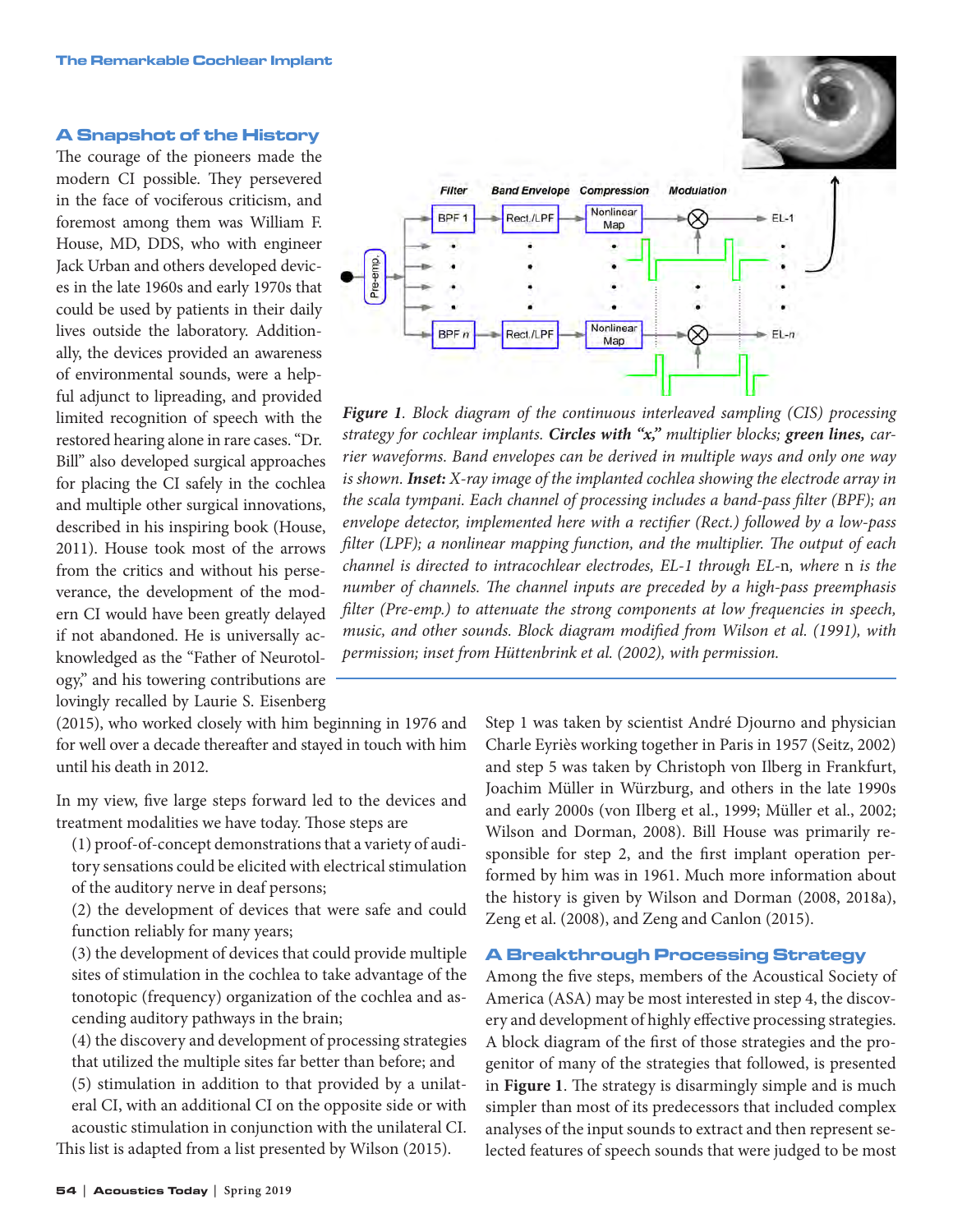#### A Snapshot of the History

The courage of the pioneers made the modern CI possible. They persevered in the face of vociferous criticism, and foremost among them was William F. House, MD, DDS, who with engineer Jack Urban and others developed devices in the late 1960s and early 1970s that could be used by patients in their daily lives outside the laboratory. Additionally, the devices provided an awareness of environmental sounds, were a helpful adjunct to lipreading, and provided limited recognition of speech with the restored hearing alone in rare cases. "Dr. Bill" also developed surgical approaches for placing the CI safely in the cochlea and multiple other surgical innovations, described in his inspiring book (House, 2011). House took most of the arrows from the critics and without his perseverance, the development of the modern CI would have been greatly delayed if not abandoned. He is universally acknowledged as the "Father of Neurotology," and his towering contributions are lovingly recalled by Laurie S. Eisenberg

(2015), who worked closely with him beginning in 1976 and for well over a decade thereafter and stayed in touch with him until his death in 2012.

In my view, five large steps forward led to the devices and treatment modalities we have today. Those steps are

 (1) proof-of-concept demonstrations that a variety of auditory sensations could be elicited with electrical stimulation of the auditory nerve in deaf persons;

 (2) the development of devices that were safe and could function reliably for many years;

 (3) the development of devices that could provide multiple sites of stimulation in the cochlea to take advantage of the tonotopic (frequency) organization of the cochlea and ascending auditory pathways in the brain;

 (4) the discovery and development of processing strategies that utilized the multiple sites far better than before; and

 (5) stimulation in addition to that provided by a unilateral CI, with an additional CI on the opposite side or with acoustic stimulation in conjunction with the unilateral CI.

This list is adapted from a list presented by Wilson (2015).





*Figure 1. Block diagram of the continuous interleaved sampling (CIS) processing strategy for cochlear implants. Circles with "x," multiplier blocks; green lines, carrier waveforms. Band envelopes can be derived in multiple ways and only one way is shown. Inset: X-ray image of the implanted cochlea showing the electrode array in the scala tympani. Each channel of processing includes a band-pass filter (BPF); an envelope detector, implemented here with a rectifier (Rect.) followed by a low-pass filter (LPF); a nonlinear mapping function, and the multiplier. The output of each channel is directed to intracochlear electrodes, EL-1 through EL-*n*, where* n *is the number of channels. The channel inputs are preceded by a high-pass preemphasis filter (Pre-emp.) to attenuate the strong components at low frequencies in speech, music, and other sounds. Block diagram modified from Wilson et al. (1991), with permission; inset from Hüttenbrink et al. (2002), with permission.*

Step 1 was taken by scientist André Djourno and physician Charle Eyriès working together in Paris in 1957 (Seitz, 2002) and step 5 was taken by Christoph von Ilberg in Frankfurt, Joachim Müller in Würzburg, and others in the late 1990s and early 2000s (von Ilberg et al., 1999; Müller et al., 2002; Wilson and Dorman, 2008). Bill House was primarily responsible for step 2, and the first implant operation performed by him was in 1961. Much more information about the history is given by Wilson and Dorman (2008, 2018a), Zeng et al. (2008), and Zeng and Canlon (2015).

### A Breakthrough Processing Strategy

Among the five steps, members of the Acoustical Society of America (ASA) may be most interested in step 4, the discovery and development of highly effective processing strategies. A block diagram of the first of those strategies and the progenitor of many of the strategies that followed, is presented in **Figure 1**. The strategy is disarmingly simple and is much simpler than most of its predecessors that included complex analyses of the input sounds to extract and then represent selected features of speech sounds that were judged to be most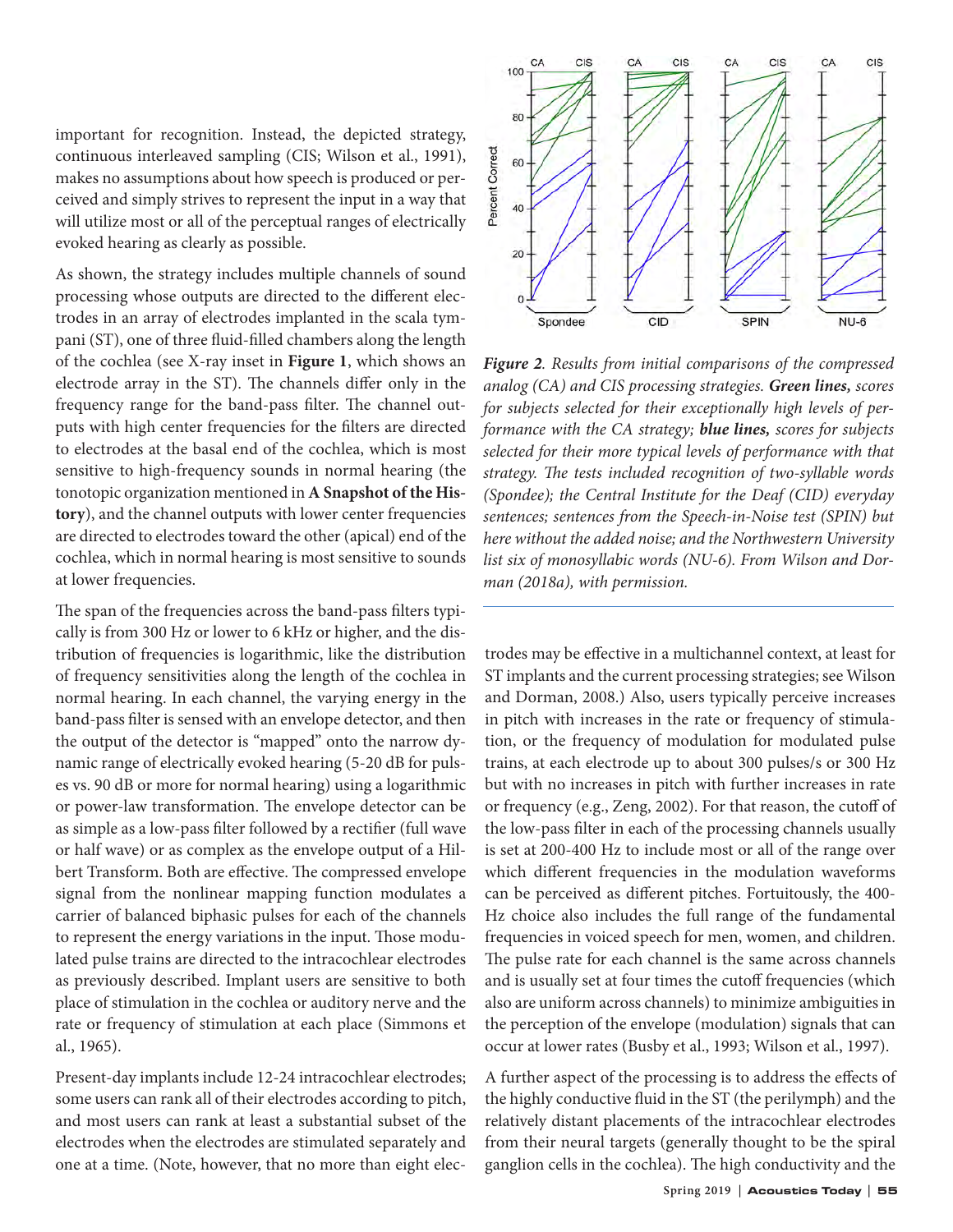important for recognition. Instead, the depicted strategy, continuous interleaved sampling (CIS; Wilson et al., 1991), makes no assumptions about how speech is produced or perceived and simply strives to represent the input in a way that will utilize most or all of the perceptual ranges of electrically evoked hearing as clearly as possible.

As shown, the strategy includes multiple channels of sound processing whose outputs are directed to the different electrodes in an array of electrodes implanted in the scala tympani (ST), one of three fluid-filled chambers along the length of the cochlea (see X-ray inset in **Figure 1**, which shows an electrode array in the ST). The channels differ only in the frequency range for the band-pass filter. The channel outputs with high center frequencies for the filters are directed to electrodes at the basal end of the cochlea, which is most sensitive to high-frequency sounds in normal hearing (the tonotopic organization mentioned in **A Snapshot of the History**), and the channel outputs with lower center frequencies are directed to electrodes toward the other (apical) end of the cochlea, which in normal hearing is most sensitive to sounds at lower frequencies.

The span of the frequencies across the band-pass filters typically is from 300 Hz or lower to 6 kHz or higher, and the distribution of frequencies is logarithmic, like the distribution of frequency sensitivities along the length of the cochlea in normal hearing. In each channel, the varying energy in the band-pass filter is sensed with an envelope detector, and then the output of the detector is "mapped" onto the narrow dynamic range of electrically evoked hearing (5-20 dB for pulses vs. 90 dB or more for normal hearing) using a logarithmic or power-law transformation. The envelope detector can be as simple as a low-pass filter followed by a rectifier (full wave or half wave) or as complex as the envelope output of a Hilbert Transform. Both are effective. The compressed envelope signal from the nonlinear mapping function modulates a carrier of balanced biphasic pulses for each of the channels to represent the energy variations in the input. Those modulated pulse trains are directed to the intracochlear electrodes as previously described. Implant users are sensitive to both place of stimulation in the cochlea or auditory nerve and the rate or frequency of stimulation at each place (Simmons et al., 1965).

Present-day implants include 12-24 intracochlear electrodes; some users can rank all of their electrodes according to pitch, and most users can rank at least a substantial subset of the electrodes when the electrodes are stimulated separately and one at a time. (Note, however, that no more than eight elec-



*Figure 2. Results from initial comparisons of the compressed analog (CA) and CIS processing strategies. Green lines, scores for subjects selected for their exceptionally high levels of performance with the CA strategy; blue lines, scores for subjects selected for their more typical levels of performance with that strategy. The tests included recognition of two-syllable words (Spondee); the Central Institute for the Deaf (CID) everyday sentences; sentences from the Speech-in-Noise test (SPIN) but here without the added noise; and the Northwestern University list six of monosyllabic words (NU-6). From Wilson and Dorman (2018a), with permission.*

trodes may be effective in a multichannel context, at least for ST implants and the current processing strategies; see Wilson and Dorman, 2008.) Also, users typically perceive increases in pitch with increases in the rate or frequency of stimulation, or the frequency of modulation for modulated pulse trains, at each electrode up to about 300 pulses/s or 300 Hz but with no increases in pitch with further increases in rate or frequency (e.g., Zeng, 2002). For that reason, the cutoff of the low-pass filter in each of the processing channels usually is set at 200-400 Hz to include most or all of the range over which different frequencies in the modulation waveforms can be perceived as different pitches. Fortuitously, the 400- Hz choice also includes the full range of the fundamental frequencies in voiced speech for men, women, and children. The pulse rate for each channel is the same across channels and is usually set at four times the cutoff frequencies (which also are uniform across channels) to minimize ambiguities in the perception of the envelope (modulation) signals that can occur at lower rates (Busby et al., 1993; Wilson et al., 1997).

A further aspect of the processing is to address the effects of the highly conductive fluid in the ST (the perilymph) and the relatively distant placements of the intracochlear electrodes from their neural targets (generally thought to be the spiral ganglion cells in the cochlea). The high conductivity and the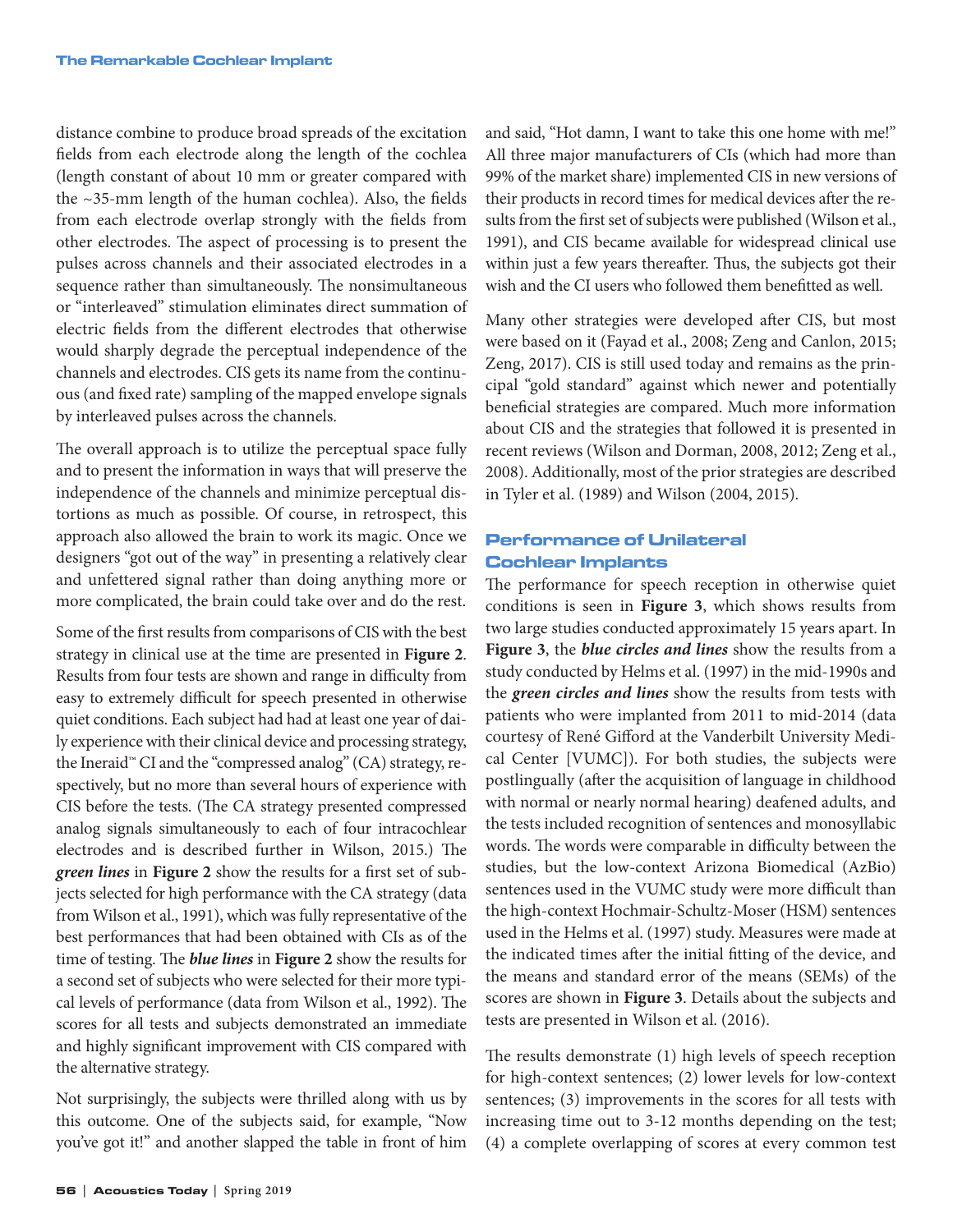distance combine to produce broad spreads of the excitation fields from each electrode along the length of the cochlea (length constant of about 10 mm or greater compared with the ~35-mm length of the human cochlea). Also, the fields from each electrode overlap strongly with the fields from other electrodes. The aspect of processing is to present the pulses across channels and their associated electrodes in a sequence rather than simultaneously. The nonsimultaneous or "interleaved" stimulation eliminates direct summation of electric fields from the different electrodes that otherwise would sharply degrade the perceptual independence of the channels and electrodes. CIS gets its name from the continuous (and fixed rate) sampling of the mapped envelope signals by interleaved pulses across the channels.

The overall approach is to utilize the perceptual space fully and to present the information in ways that will preserve the independence of the channels and minimize perceptual distortions as much as possible. Of course, in retrospect, this approach also allowed the brain to work its magic. Once we designers "got out of the way" in presenting a relatively clear and unfettered signal rather than doing anything more or more complicated, the brain could take over and do the rest.

Some of the first results from comparisons of CIS with the best strategy in clinical use at the time are presented in **Figure 2**. Results from four tests are shown and range in difficulty from easy to extremely difficult for speech presented in otherwise quiet conditions. Each subject had had at least one year of daily experience with their clinical device and processing strategy, the Ineraid™ CI and the "compressed analog" (CA) strategy, respectively, but no more than several hours of experience with CIS before the tests. (The CA strategy presented compressed analog signals simultaneously to each of four intracochlear electrodes and is described further in Wilson, 2015.) The *green lines* in **Figure 2** show the results for a first set of subjects selected for high performance with the CA strategy (data from Wilson et al., 1991), which was fully representative of the best performances that had been obtained with CIs as of the time of testing. The *blue lines* in **Figure 2** show the results for a second set of subjects who were selected for their more typical levels of performance (data from Wilson et al., 1992). The scores for all tests and subjects demonstrated an immediate and highly significant improvement with CIS compared with the alternative strategy.

Not surprisingly, the subjects were thrilled along with us by this outcome. One of the subjects said, for example, "Now you've got it!" and another slapped the table in front of him and said, "Hot damn, I want to take this one home with me!" All three major manufacturers of CIs (which had more than 99% of the market share) implemented CIS in new versions of their products in record times for medical devices after the results from the first set of subjects were published (Wilson et al., 1991), and CIS became available for widespread clinical use within just a few years thereafter. Thus, the subjects got their wish and the CI users who followed them benefitted as well.

Many other strategies were developed after CIS, but most were based on it (Fayad et al., 2008; Zeng and Canlon, 2015; Zeng, 2017). CIS is still used today and remains as the principal "gold standard" against which newer and potentially beneficial strategies are compared. Much more information about CIS and the strategies that followed it is presented in recent reviews (Wilson and Dorman, 2008, 2012; Zeng et al., 2008). Additionally, most of the prior strategies are described in Tyler et al. (1989) and Wilson (2004, 2015).

# Performance of Unilateral Cochlear Implants

The performance for speech reception in otherwise quiet conditions is seen in **Figure 3**, which shows results from two large studies conducted approximately 15 years apart. In **Figure 3**, the *blue circles and lines* show the results from a study conducted by Helms et al. (1997) in the mid-1990s and the *green circles and lines* show the results from tests with patients who were implanted from 2011 to mid-2014 (data courtesy of René Gifford at the Vanderbilt University Medical Center [VUMC]). For both studies, the subjects were postlingually (after the acquisition of language in childhood with normal or nearly normal hearing) deafened adults, and the tests included recognition of sentences and monosyllabic words. The words were comparable in difficulty between the studies, but the low-context Arizona Biomedical (AzBio) sentences used in the VUMC study were more difficult than the high-context Hochmair-Schultz-Moser (HSM) sentences used in the Helms et al. (1997) study. Measures were made at the indicated times after the initial fitting of the device, and the means and standard error of the means (SEMs) of the scores are shown in **Figure 3**. Details about the subjects and tests are presented in Wilson et al. (2016).

The results demonstrate (1) high levels of speech reception for high-context sentences; (2) lower levels for low-context sentences; (3) improvements in the scores for all tests with increasing time out to 3-12 months depending on the test; (4) a complete overlapping of scores at every common test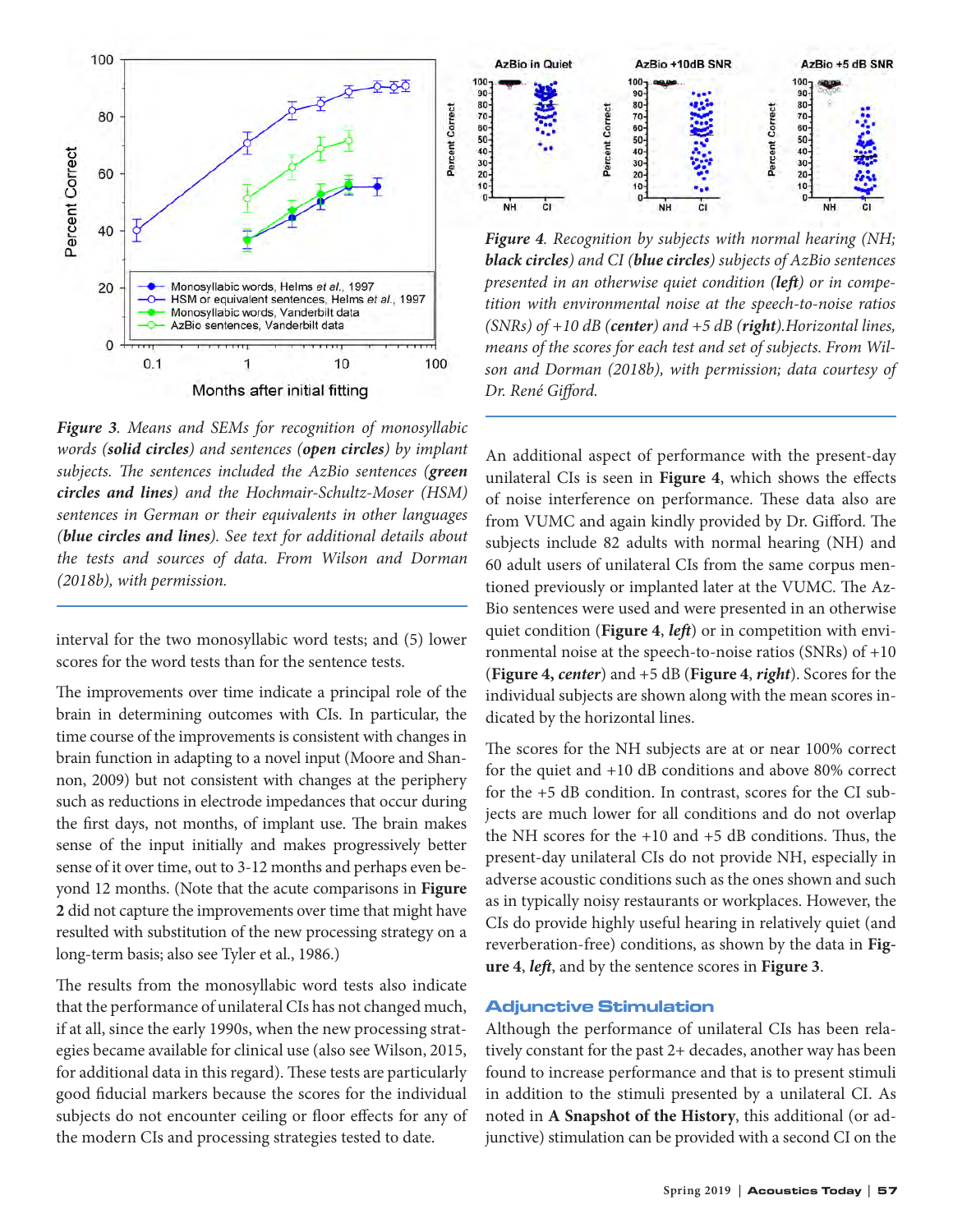

*Figure 3. Means and SEMs for recognition of monosyllabic words (solid circles) and sentences (open circles) by implant subjects. The sentences included the AzBio sentences (green circles and lines) and the Hochmair-Schultz-Moser (HSM) sentences in German or their equivalents in other languages (blue circles and lines). See text for additional details about the tests and sources of data. From Wilson and Dorman (2018b), with permission.*

interval for the two monosyllabic word tests; and (5) lower scores for the word tests than for the sentence tests.

The improvements over time indicate a principal role of the brain in determining outcomes with CIs. In particular, the time course of the improvements is consistent with changes in brain function in adapting to a novel input (Moore and Shannon, 2009) but not consistent with changes at the periphery such as reductions in electrode impedances that occur during the first days, not months, of implant use. The brain makes sense of the input initially and makes progressively better sense of it over time, out to 3-12 months and perhaps even beyond 12 months. (Note that the acute comparisons in **Figure 2** did not capture the improvements over time that might have resulted with substitution of the new processing strategy on a long-term basis; also see Tyler et al., 1986.)

The results from the monosyllabic word tests also indicate that the performance of unilateral CIs has not changed much, if at all, since the early 1990s, when the new processing strategies became available for clinical use (also see Wilson, 2015, for additional data in this regard). These tests are particularly good fiducial markers because the scores for the individual subjects do not encounter ceiling or floor effects for any of the modern CIs and processing strategies tested to date.



*Figure 4. Recognition by subjects with normal hearing (NH; black circles) and CI (blue circles) subjects of AzBio sentences presented in an otherwise quiet condition (left) or in competition with environmental noise at the speech-to-noise ratios (SNRs) of +10 dB (center) and +5 dB (right).Horizontal lines, means of the scores for each test and set of subjects. From Wilson and Dorman (2018b), with permission; data courtesy of Dr. René Gifford.*

An additional aspect of performance with the present-day unilateral CIs is seen in **Figure 4**, which shows the effects of noise interference on performance. These data also are from VUMC and again kindly provided by Dr. Gifford. The subjects include 82 adults with normal hearing (NH) and 60 adult users of unilateral CIs from the same corpus mentioned previously or implanted later at the VUMC. The Az-Bio sentences were used and were presented in an otherwise quiet condition (**Figure 4**, *left*) or in competition with environmental noise at the speech-to-noise ratios (SNRs) of +10 (**Figure 4,** *center*) and +5 dB (**Figure 4**, *right*). Scores for the individual subjects are shown along with the mean scores indicated by the horizontal lines.

The scores for the NH subjects are at or near 100% correct for the quiet and +10 dB conditions and above 80% correct for the +5 dB condition. In contrast, scores for the CI subjects are much lower for all conditions and do not overlap the NH scores for the +10 and +5 dB conditions. Thus, the present-day unilateral CIs do not provide NH, especially in adverse acoustic conditions such as the ones shown and such as in typically noisy restaurants or workplaces. However, the CIs do provide highly useful hearing in relatively quiet (and reverberation-free) conditions, as shown by the data in **Figure 4**, *left*, and by the sentence scores in **Figure 3**.

#### Adjunctive Stimulation

Although the performance of unilateral CIs has been relatively constant for the past 2+ decades, another way has been found to increase performance and that is to present stimuli in addition to the stimuli presented by a unilateral CI. As noted in **A Snapshot of the History**, this additional (or adjunctive) stimulation can be provided with a second CI on the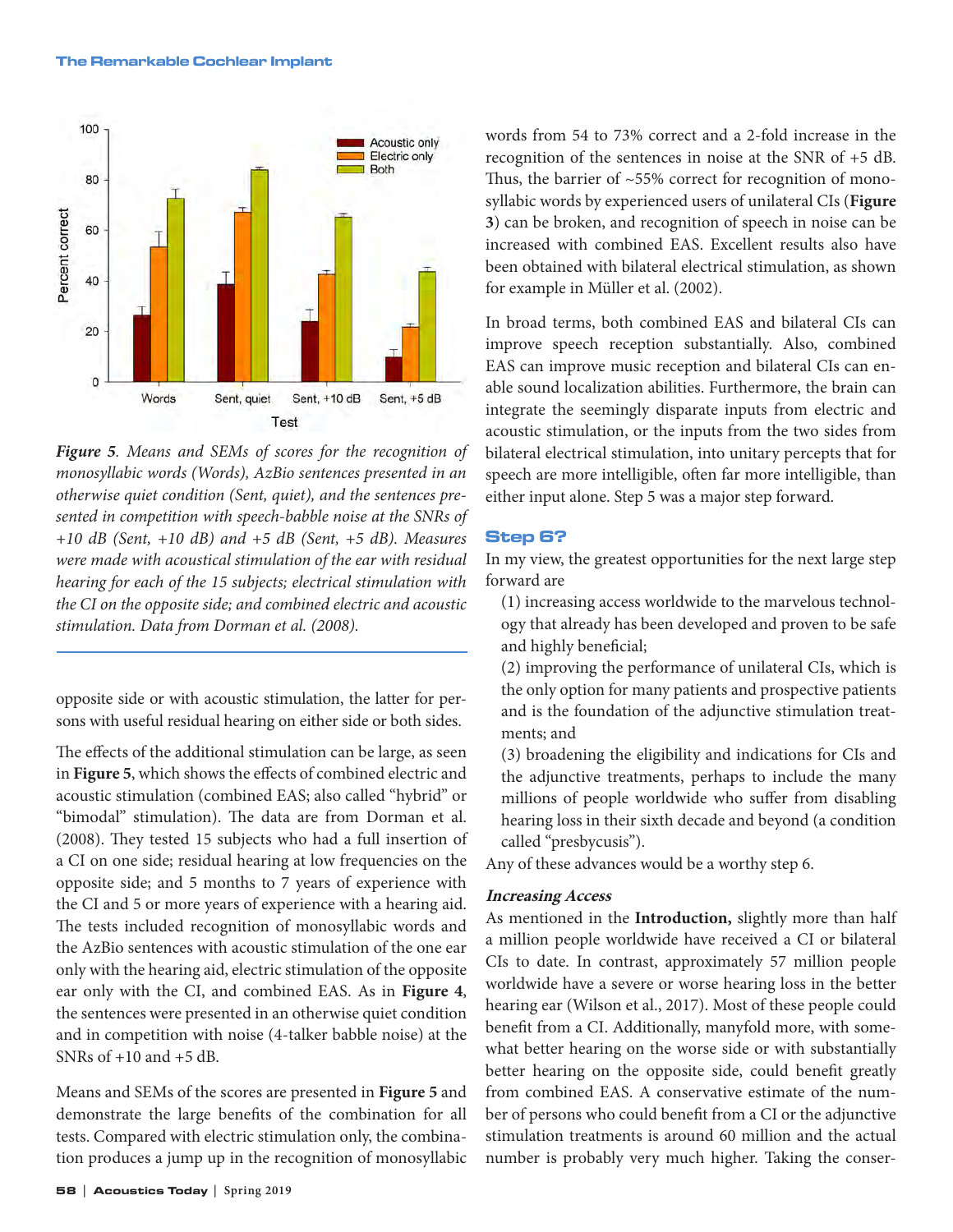#### The Remarkable Cochlear Implant



*Figure 5. Means and SEMs of scores for the recognition of monosyllabic words (Words), AzBio sentences presented in an otherwise quiet condition (Sent, quiet), and the sentences presented in competition with speech-babble noise at the SNRs of +10 dB (Sent, +10 dB) and +5 dB (Sent, +5 dB). Measures were made with acoustical stimulation of the ear with residual hearing for each of the 15 subjects; electrical stimulation with the CI on the opposite side; and combined electric and acoustic stimulation. Data from Dorman et al. (2008).* 

opposite side or with acoustic stimulation, the latter for persons with useful residual hearing on either side or both sides.

The effects of the additional stimulation can be large, as seen in **Figure 5**, which shows the effects of combined electric and acoustic stimulation (combined EAS; also called "hybrid" or "bimodal" stimulation). The data are from Dorman et al. (2008). They tested 15 subjects who had a full insertion of a CI on one side; residual hearing at low frequencies on the opposite side; and 5 months to 7 years of experience with the CI and 5 or more years of experience with a hearing aid. The tests included recognition of monosyllabic words and the AzBio sentences with acoustic stimulation of the one ear only with the hearing aid, electric stimulation of the opposite ear only with the CI, and combined EAS. As in **Figure 4**, the sentences were presented in an otherwise quiet condition and in competition with noise (4-talker babble noise) at the SNRs of  $+10$  and  $+5$  dB.

Means and SEMs of the scores are presented in **Figure 5** and demonstrate the large benefits of the combination for all tests. Compared with electric stimulation only, the combination produces a jump up in the recognition of monosyllabic words from 54 to 73% correct and a 2-fold increase in the recognition of the sentences in noise at the SNR of +5 dB. Thus, the barrier of  $~55\%$  correct for recognition of monosyllabic words by experienced users of unilateral CIs (**Figure 3**) can be broken, and recognition of speech in noise can be increased with combined EAS. Excellent results also have been obtained with bilateral electrical stimulation, as shown for example in Müller et al. (2002).

In broad terms, both combined EAS and bilateral CIs can improve speech reception substantially. Also, combined EAS can improve music reception and bilateral CIs can enable sound localization abilities. Furthermore, the brain can integrate the seemingly disparate inputs from electric and acoustic stimulation, or the inputs from the two sides from bilateral electrical stimulation, into unitary percepts that for speech are more intelligible, often far more intelligible, than either input alone. Step 5 was a major step forward.

## Step 6?

In my view, the greatest opportunities for the next large step forward are

- (1) increasing access worldwide to the marvelous technology that already has been developed and proven to be safe and highly beneficial;
- (2) improving the performance of unilateral CIs, which is the only option for many patients and prospective patients and is the foundation of the adjunctive stimulation treatments; and
- (3) broadening the eligibility and indications for CIs and the adjunctive treatments, perhaps to include the many millions of people worldwide who suffer from disabling hearing loss in their sixth decade and beyond (a condition called "presbycusis").

Any of these advances would be a worthy step 6.

## **Increasing Access**

As mentioned in the **Introduction,** slightly more than half a million people worldwide have received a CI or bilateral CIs to date. In contrast, approximately 57 million people worldwide have a severe or worse hearing loss in the better hearing ear (Wilson et al., 2017). Most of these people could benefit from a CI. Additionally, manyfold more, with somewhat better hearing on the worse side or with substantially better hearing on the opposite side, could benefit greatly from combined EAS. A conservative estimate of the number of persons who could benefit from a CI or the adjunctive stimulation treatments is around 60 million and the actual number is probably very much higher. Taking the conser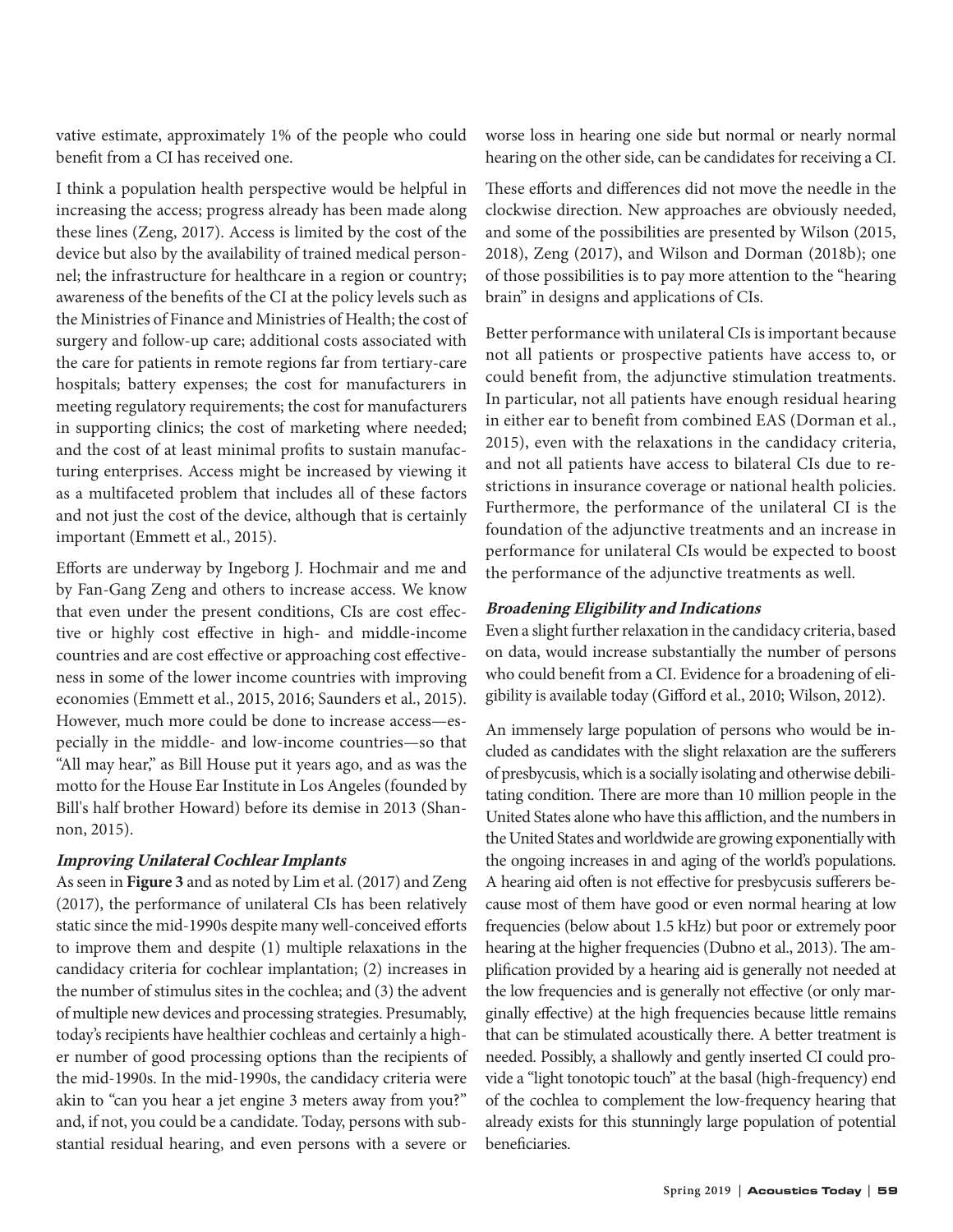vative estimate, approximately 1% of the people who could benefit from a CI has received one.

I think a population health perspective would be helpful in increasing the access; progress already has been made along these lines (Zeng, 2017). Access is limited by the cost of the device but also by the availability of trained medical personnel; the infrastructure for healthcare in a region or country; awareness of the benefits of the CI at the policy levels such as the Ministries of Finance and Ministries of Health; the cost of surgery and follow-up care; additional costs associated with the care for patients in remote regions far from tertiary-care hospitals; battery expenses; the cost for manufacturers in meeting regulatory requirements; the cost for manufacturers in supporting clinics; the cost of marketing where needed; and the cost of at least minimal profits to sustain manufacturing enterprises. Access might be increased by viewing it as a multifaceted problem that includes all of these factors and not just the cost of the device, although that is certainly important (Emmett et al., 2015).

Efforts are underway by Ingeborg J. Hochmair and me and by Fan-Gang Zeng and others to increase access. We know that even under the present conditions, CIs are cost effective or highly cost effective in high- and middle-income countries and are cost effective or approaching cost effectiveness in some of the lower income countries with improving economies (Emmett et al., 2015, 2016; Saunders et al., 2015). However, much more could be done to increase access—especially in the middle- and low-income countries—so that "All may hear," as Bill House put it years ago, and as was the motto for the House Ear Institute in Los Angeles (founded by Bill's half brother Howard) before its demise in 2013 (Shannon, 2015).

## **Improving Unilateral Cochlear Implants**

As seen in **Figure 3** and as noted by Lim et al. (2017) and Zeng (2017), the performance of unilateral CIs has been relatively static since the mid-1990s despite many well-conceived efforts to improve them and despite (1) multiple relaxations in the candidacy criteria for cochlear implantation; (2) increases in the number of stimulus sites in the cochlea; and (3) the advent of multiple new devices and processing strategies. Presumably, today's recipients have healthier cochleas and certainly a higher number of good processing options than the recipients of the mid-1990s. In the mid-1990s, the candidacy criteria were akin to "can you hear a jet engine 3 meters away from you?" and, if not, you could be a candidate. Today, persons with substantial residual hearing, and even persons with a severe or

worse loss in hearing one side but normal or nearly normal hearing on the other side, can be candidates for receiving a CI.

These efforts and differences did not move the needle in the clockwise direction. New approaches are obviously needed, and some of the possibilities are presented by Wilson (2015, 2018), Zeng (2017), and Wilson and Dorman (2018b); one of those possibilities is to pay more attention to the "hearing brain" in designs and applications of CIs.

Better performance with unilateral CIs is important because not all patients or prospective patients have access to, or could benefit from, the adjunctive stimulation treatments. In particular, not all patients have enough residual hearing in either ear to benefit from combined EAS (Dorman et al., 2015), even with the relaxations in the candidacy criteria, and not all patients have access to bilateral CIs due to restrictions in insurance coverage or national health policies. Furthermore, the performance of the unilateral CI is the foundation of the adjunctive treatments and an increase in performance for unilateral CIs would be expected to boost the performance of the adjunctive treatments as well.

## **Broadening Eligibility and Indications**

Even a slight further relaxation in the candidacy criteria, based on data, would increase substantially the number of persons who could benefit from a CI. Evidence for a broadening of eligibility is available today (Gifford et al., 2010; Wilson, 2012).

An immensely large population of persons who would be included as candidates with the slight relaxation are the sufferers of presbycusis, which is a socially isolating and otherwise debilitating condition. There are more than 10 million people in the United States alone who have this affliction, and the numbers in the United States and worldwide are growing exponentially with the ongoing increases in and aging of the world's populations. A hearing aid often is not effective for presbycusis sufferers because most of them have good or even normal hearing at low frequencies (below about 1.5 kHz) but poor or extremely poor hearing at the higher frequencies (Dubno et al., 2013). The amplification provided by a hearing aid is generally not needed at the low frequencies and is generally not effective (or only marginally effective) at the high frequencies because little remains that can be stimulated acoustically there. A better treatment is needed. Possibly, a shallowly and gently inserted CI could provide a "light tonotopic touch" at the basal (high-frequency) end of the cochlea to complement the low-frequency hearing that already exists for this stunningly large population of potential beneficiaries.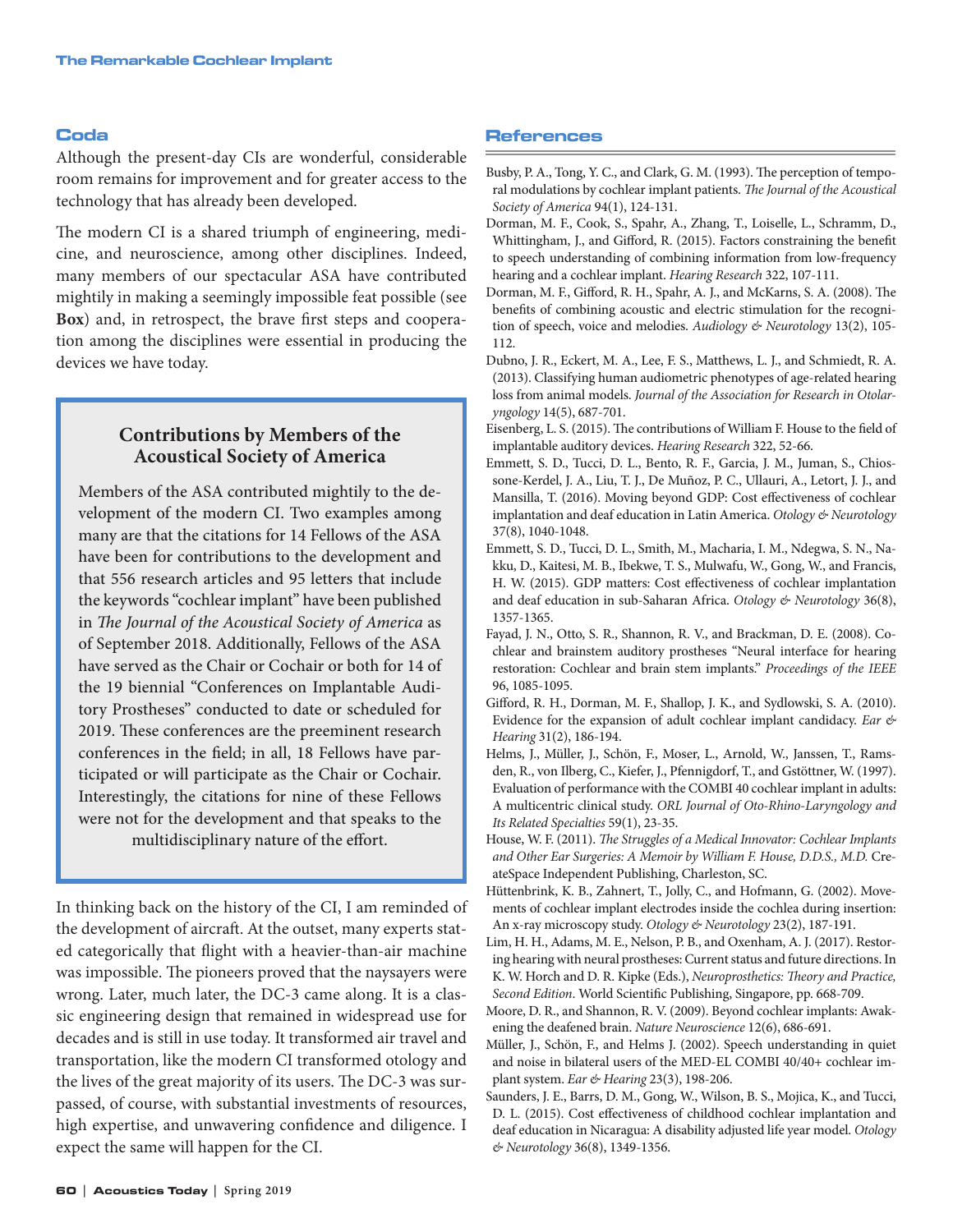#### Coda

Although the present-day CIs are wonderful, considerable room remains for improvement and for greater access to the technology that has already been developed.

The modern CI is a shared triumph of engineering, medicine, and neuroscience, among other disciplines. Indeed, many members of our spectacular ASA have contributed mightily in making a seemingly impossible feat possible (see **Box**) and, in retrospect, the brave first steps and cooperation among the disciplines were essential in producing the devices we have today.

# **Contributions by Members of the Acoustical Society of America**

Members of the ASA contributed mightily to the development of the modern CI. Two examples among many are that the citations for 14 Fellows of the ASA have been for contributions to the development and that 556 research articles and 95 letters that include the keywords "cochlear implant" have been published in *The Journal of the Acoustical Society of America* as of September 2018. Additionally, Fellows of the ASA have served as the Chair or Cochair or both for 14 of the 19 biennial "Conferences on Implantable Auditory Prostheses" conducted to date or scheduled for 2019. These conferences are the preeminent research conferences in the field; in all, 18 Fellows have participated or will participate as the Chair or Cochair. Interestingly, the citations for nine of these Fellows were not for the development and that speaks to the multidisciplinary nature of the effort.

In thinking back on the history of the CI, I am reminded of the development of aircraft. At the outset, many experts stated categorically that flight with a heavier-than-air machine was impossible. The pioneers proved that the naysayers were wrong. Later, much later, the DC-3 came along. It is a classic engineering design that remained in widespread use for decades and is still in use today. It transformed air travel and transportation, like the modern CI transformed otology and the lives of the great majority of its users. The DC-3 was surpassed, of course, with substantial investments of resources, high expertise, and unwavering confidence and diligence. I expect the same will happen for the CI.

#### References

- Busby, P. A., Tong, Y. C., and Clark, G. M. (1993). The perception of temporal modulations by cochlear implant patients. *The Journal of the Acoustical Society of America* 94(1), 124-131.
- Dorman, M. F., Cook, S., Spahr, A., Zhang, T., Loiselle, L., Schramm, D., Whittingham, J., and Gifford, R. (2015). Factors constraining the benefit to speech understanding of combining information from low-frequency hearing and a cochlear implant. *Hearing Research* 322, 107-111.
- Dorman, M. F., Gifford, R. H., Spahr, A. J., and McKarns, S. A. (2008). The benefits of combining acoustic and electric stimulation for the recognition of speech, voice and melodies. *Audiology & Neurotology* 13(2), 105- 112.
- Dubno, J. R., Eckert, M. A., Lee, F. S., Matthews, L. J., and Schmiedt, R. A. (2013). Classifying human audiometric phenotypes of age-related hearing loss from animal models. *Journal of the Association for Research in Otolaryngology* 14(5), 687-701.
- Eisenberg, L. S. (2015). The contributions of William F. House to the field of implantable auditory devices. *Hearing Research* 322, 52-66.
- Emmett, S. D., Tucci, D. L., Bento, R. F., Garcia, J. M., Juman, S., Chiossone-Kerdel, J. A., Liu, T. J., De Muñoz, P. C., Ullauri, A., Letort, J. J., and Mansilla, T. (2016). Moving beyond GDP: Cost effectiveness of cochlear implantation and deaf education in Latin America. *Otology & Neurotology* 37(8), 1040-1048.
- Emmett, S. D., Tucci, D. L., Smith, M., Macharia, I. M., Ndegwa, S. N., Nakku, D., Kaitesi, M. B., Ibekwe, T. S., Mulwafu, W., Gong, W., and Francis, H. W. (2015). GDP matters: Cost effectiveness of cochlear implantation and deaf education in sub-Saharan Africa. *Otology & Neurotology* 36(8), 1357-1365.
- Fayad, J. N., Otto, S. R., Shannon, R. V., and Brackman, D. E. (2008). Cochlear and brainstem auditory prostheses "Neural interface for hearing restoration: Cochlear and brain stem implants." *Proceedings of the IEEE* 96, 1085-1095.
- Gifford, R. H., Dorman, M. F., Shallop, J. K., and Sydlowski, S. A. (2010). Evidence for the expansion of adult cochlear implant candidacy. *Ear & Hearing* 31(2), 186-194.
- Helms, J., Müller, J., Schön, F., Moser, L., Arnold, W., Janssen, T., Ramsden, R., von Ilberg, C., Kiefer, J., Pfennigdorf, T., and Gstöttner, W. (1997). Evaluation of performance with the COMBI 40 cochlear implant in adults: A multicentric clinical study. *ORL Journal of Oto-Rhino-Laryngology and Its Related Specialties* 59(1), 23-35.
- House, W. F. (2011). *The Struggles of a Medical Innovator: Cochlear Implants and Other Ear Surgeries: A Memoir by William F. House, D.D.S., M.D.* CreateSpace Independent Publishing, Charleston, SC.
- Hüttenbrink, K. B., Zahnert, T., Jolly, C., and Hofmann, G. (2002). Movements of cochlear implant electrodes inside the cochlea during insertion: An x-ray microscopy study. *Otology & Neurotology* 23(2), 187-191.
- Lim, H. H., Adams, M. E., Nelson, P. B., and Oxenham, A. J. (2017). Restoring hearing with neural prostheses: Current status and future directions. In K. W. Horch and D. R. Kipke (Eds.), *Neuroprosthetics: Theory and Practice, Second Edition*. World Scientific Publishing, Singapore, pp. 668-709.
- Moore, D. R., and Shannon, R. V. (2009). Beyond cochlear implants: Awakening the deafened brain. *Nature Neuroscience* 12(6), 686-691.
- Müller, J., Schön, F., and Helms J. (2002). Speech understanding in quiet and noise in bilateral users of the MED-EL COMBI 40/40+ cochlear implant system. *Ear & Hearing* 23(3), 198-206.
- Saunders, J. E., Barrs, D. M., Gong, W., Wilson, B. S., Mojica, K., and Tucci, D. L. (2015). Cost effectiveness of childhood cochlear implantation and deaf education in Nicaragua: A disability adjusted life year model. *Otology & Neurotology* 36(8), 1349-1356.